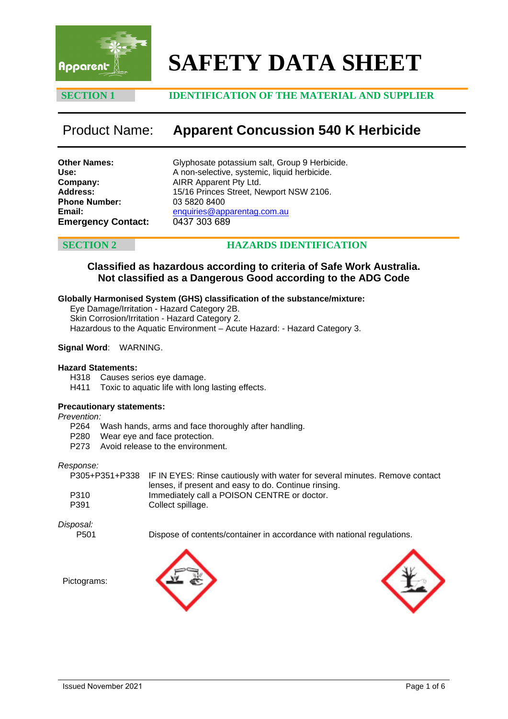

# **SAFETY DATA SHEET**

# **SECTION 1 IDENTIFICATION OF THE MATERIAL AND SUPPLIER**

# Product Name: **Apparent Concussion 540 K Herbicide**

**Other Names: Use: Company: Address: Phone Number: Email: Emergency Contact:** Glyphosate potassium salt, Group 9 Herbicide. A non-selective, systemic, liquid herbicide. AIRR Apparent Pty Ltd. 15/16 Princes Street, Newport NSW 2106. 03 5820 8400 [enquiries@apparentag.com.au](mailto:enquiries@apparentag.com.au) 0437 303 689

# **SECTION 2 HAZARDS IDENTIFICATION**

# **Classified as hazardous according to criteria of Safe Work Australia. Not classified as a Dangerous Good according to the ADG Code**

### **Globally Harmonised System (GHS) classification of the substance/mixture:**

Eye Damage/Irritation - Hazard Category 2B. Skin Corrosion/Irritation - Hazard Category 2. Hazardous to the Aquatic Environment – Acute Hazard: - Hazard Category 3.

### **Signal Word**: WARNING.

### **Hazard Statements:**

H318 Causes serios eye damage.<br>H411 Toxic to aquatic life with long

Toxic to aquatic life with long lasting effects.

### **Precautionary statements:**

*Prevention:*

- P264 Wash hands, arms and face thoroughly after handling.<br>P280 Wear eve and face protection.
- Wear eve and face protection.
- P273 Avoid release to the environment.

### *Response:*

|      | P305+P351+P338 IF IN EYES: Rinse cautiously with water for several minutes. Remove contact |
|------|--------------------------------------------------------------------------------------------|
|      | lenses, if present and easy to do. Continue rinsing.                                       |
| P310 | Immediately call a POISON CENTRE or doctor.                                                |
| P391 | Collect spillage.                                                                          |

*Disposal:*

Pictograms:

P501 Dispose of contents/container in accordance with national regulations.



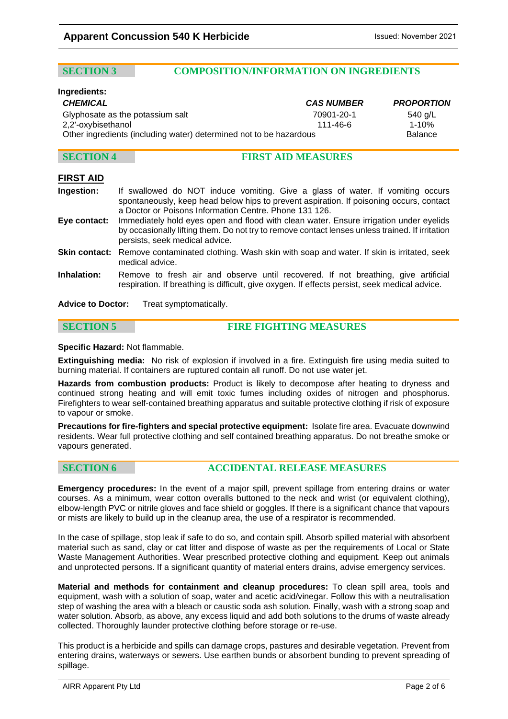### **SECTION 3 COMPOSITION/INFORMATION ON INGREDIENTS**

### **Ingredients:**

|                                                                    | <b>PROPORTION</b> |  |
|--------------------------------------------------------------------|-------------------|--|
| 70901-20-1                                                         | 540 g/L           |  |
| 111-46-6                                                           | $1 - 10%$         |  |
| Other ingredients (including water) determined not to be hazardous |                   |  |
|                                                                    | <b>CAS NUMBER</b> |  |

# **SECTION 4 FIRST AID MEASURES**

# **FIRST AID**

- **Ingestion:** If swallowed do NOT induce vomiting. Give a glass of water. If vomiting occurs spontaneously, keep head below hips to prevent aspiration. If poisoning occurs, contact a Doctor or Poisons Information Centre. Phone 131 126.
- **Eye contact:** Immediately hold eyes open and flood with clean water. Ensure irrigation under eyelids by occasionally lifting them. Do not try to remove contact lenses unless trained. If irritation persists, seek medical advice.
- **Skin contact:** Remove contaminated clothing. Wash skin with soap and water. If skin is irritated, seek medical advice.
- **Inhalation:** Remove to fresh air and observe until recovered. If not breathing, give artificial respiration. If breathing is difficult, give oxygen. If effects persist, seek medical advice.

**Advice to Doctor:** Treat symptomatically.

# **SECTION 5 FIRE FIGHTING MEASURES**

**Specific Hazard:** Not flammable.

**Extinguishing media:** No risk of explosion if involved in a fire. Extinguish fire using media suited to burning material. If containers are ruptured contain all runoff. Do not use water jet.

**Hazards from combustion products:** Product is likely to decompose after heating to dryness and continued strong heating and will emit toxic fumes including oxides of nitrogen and phosphorus. Firefighters to wear self-contained breathing apparatus and suitable protective clothing if risk of exposure to vapour or smoke.

**Precautions for fire-fighters and special protective equipment:** Isolate fire area. Evacuate downwind residents. Wear full protective clothing and self contained breathing apparatus. Do not breathe smoke or vapours generated.

### **SECTION 6 ACCIDENTAL RELEASE MEASURES**

**Emergency procedures:** In the event of a major spill, prevent spillage from entering drains or water courses. As a minimum, wear cotton overalls buttoned to the neck and wrist (or equivalent clothing), elbow-length PVC or nitrile gloves and face shield or goggles. If there is a significant chance that vapours or mists are likely to build up in the cleanup area, the use of a respirator is recommended.

In the case of spillage, stop leak if safe to do so, and contain spill. Absorb spilled material with absorbent material such as sand, clay or cat litter and dispose of waste as per the requirements of Local or State Waste Management Authorities. Wear prescribed protective clothing and equipment. Keep out animals and unprotected persons. If a significant quantity of material enters drains, advise emergency services.

**Material and methods for containment and cleanup procedures:** To clean spill area, tools and equipment, wash with a solution of soap, water and acetic acid/vinegar. Follow this with a neutralisation step of washing the area with a bleach or caustic soda ash solution. Finally, wash with a strong soap and water solution. Absorb, as above, any excess liquid and add both solutions to the drums of waste already collected. Thoroughly launder protective clothing before storage or re-use.

This product is a herbicide and spills can damage crops, pastures and desirable vegetation. Prevent from entering drains, waterways or sewers. Use earthen bunds or absorbent bunding to prevent spreading of spillage.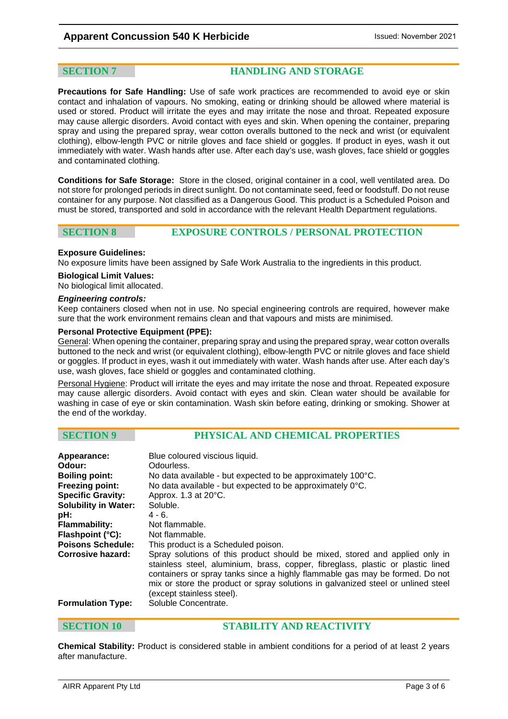**SECTION 7 HANDLING AND STORAGE**

**Precautions for Safe Handling:** Use of safe work practices are recommended to avoid eye or skin contact and inhalation of vapours. No smoking, eating or drinking should be allowed where material is used or stored. Product will irritate the eyes and may irritate the nose and throat. Repeated exposure may cause allergic disorders. Avoid contact with eyes and skin. When opening the container, preparing spray and using the prepared spray, wear cotton overalls buttoned to the neck and wrist (or equivalent clothing), elbow-length PVC or nitrile gloves and face shield or goggles. If product in eyes, wash it out immediately with water. Wash hands after use. After each day's use, wash gloves, face shield or goggles and contaminated clothing.

**Conditions for Safe Storage:** Store in the closed, original container in a cool, well ventilated area. Do not store for prolonged periods in direct sunlight. Do not contaminate seed, feed or foodstuff. Do not reuse container for any purpose. Not classified as a Dangerous Good. This product is a Scheduled Poison and must be stored, transported and sold in accordance with the relevant Health Department regulations.

# **SECTION 8 EXPOSURE CONTROLS / PERSONAL PROTECTION**

### **Exposure Guidelines:**

No exposure limits have been assigned by Safe Work Australia to the ingredients in this product.

### **Biological Limit Values:**

No biological limit allocated.

### *Engineering controls:*

Keep containers closed when not in use. No special engineering controls are required, however make sure that the work environment remains clean and that vapours and mists are minimised.

### **Personal Protective Equipment (PPE):**

General: When opening the container, preparing spray and using the prepared spray, wear cotton overalls buttoned to the neck and wrist (or equivalent clothing), elbow-length PVC or nitrile gloves and face shield or goggles. If product in eyes, wash it out immediately with water. Wash hands after use. After each day's use, wash gloves, face shield or goggles and contaminated clothing.

Personal Hygiene: Product will irritate the eyes and may irritate the nose and throat. Repeated exposure may cause allergic disorders. Avoid contact with eyes and skin. Clean water should be available for washing in case of eye or skin contamination. Wash skin before eating, drinking or smoking. Shower at the end of the workday.

# **SECTION 9 PHYSICAL AND CHEMICAL PROPERTIES**

| Appearance:<br>Odour:<br><b>Boiling point:</b><br><b>Freezing point:</b><br><b>Specific Gravity:</b><br><b>Solubility in Water:</b><br>pH:<br><b>Flammability:</b><br>Flashpoint (°C):<br><b>Poisons Schedule:</b><br>Corrosive hazard: | Blue coloured viscious liquid.<br>Odourless.<br>No data available - but expected to be approximately 100°C.<br>No data available - but expected to be approximately 0°C.<br>Approx. 1.3 at 20°C.<br>Soluble.<br>$4 - 6$ .<br>Not flammable.<br>Not flammable.<br>This product is a Scheduled poison.<br>Spray solutions of this product should be mixed, stored and applied only in<br>stainless steel, aluminium, brass, copper, fibreglass, plastic or plastic lined<br>containers or spray tanks since a highly flammable gas may be formed. Do not<br>mix or store the product or spray solutions in galvanized steel or unlined steel |
|-----------------------------------------------------------------------------------------------------------------------------------------------------------------------------------------------------------------------------------------|--------------------------------------------------------------------------------------------------------------------------------------------------------------------------------------------------------------------------------------------------------------------------------------------------------------------------------------------------------------------------------------------------------------------------------------------------------------------------------------------------------------------------------------------------------------------------------------------------------------------------------------------|
| <b>Formulation Type:</b>                                                                                                                                                                                                                | (except stainless steel).<br>Soluble Concentrate.                                                                                                                                                                                                                                                                                                                                                                                                                                                                                                                                                                                          |

### **SECTION 10 STABILITY AND REACTIVITY**

**Chemical Stability:** Product is considered stable in ambient conditions for a period of at least 2 years after manufacture.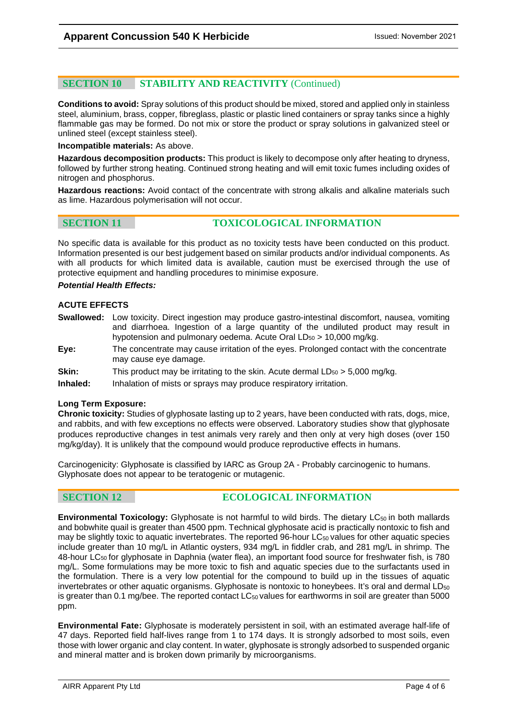# **SECTION 10 STABILITY AND REACTIVITY** (Continued)

**Conditions to avoid:** Spray solutions of this product should be mixed, stored and applied only in stainless steel, aluminium, brass, copper, fibreglass, plastic or plastic lined containers or spray tanks since a highly flammable gas may be formed. Do not mix or store the product or spray solutions in galvanized steel or unlined steel (except stainless steel).

**Incompatible materials:** As above.

**Hazardous decomposition products:** This product is likely to decompose only after heating to dryness, followed by further strong heating. Continued strong heating and will emit toxic fumes including oxides of nitrogen and phosphorus.

**Hazardous reactions:** Avoid contact of the concentrate with strong alkalis and alkaline materials such as lime. Hazardous polymerisation will not occur.

# **SECTION 11 TOXICOLOGICAL INFORMATION**

No specific data is available for this product as no toxicity tests have been conducted on this product. Information presented is our best judgement based on similar products and/or individual components. As with all products for which limited data is available, caution must be exercised through the use of protective equipment and handling procedures to minimise exposure.

### *Potential Health Effects:*

### **ACUTE EFFECTS**

- **Swallowed:** Low toxicity. Direct ingestion may produce gastro-intestinal discomfort, nausea, vomiting and diarrhoea. Ingestion of a large quantity of the undiluted product may result in hypotension and pulmonary oedema. Acute Oral  $LD_{50} > 10,000$  mg/kg.
- **Eye:** The concentrate may cause irritation of the eyes. Prolonged contact with the concentrate may cause eye damage.
- **Skin:** This product may be irritating to the skin. Acute dermal  $LD_{50} > 5,000$  mg/kg.

**Inhaled:** Inhalation of mists or sprays may produce respiratory irritation.

### **Long Term Exposure:**

**Chronic toxicity:** Studies of glyphosate lasting up to 2 years, have been conducted with rats, dogs, mice, and rabbits, and with few exceptions no effects were observed. Laboratory studies show that glyphosate produces reproductive changes in test animals very rarely and then only at very high doses (over 150 mg/kg/day). It is unlikely that the compound would produce reproductive effects in humans.

Carcinogenicity: Glyphosate is classified by IARC as Group 2A - Probably carcinogenic to humans. Glyphosate does not appear to be teratogenic or mutagenic.

# **SECTION 12 ECOLOGICAL INFORMATION**

**Environmental Toxicology:** Glyphosate is not harmful to wild birds. The dietary LC<sub>50</sub> in both mallards and bobwhite quail is greater than 4500 ppm. Technical glyphosate acid is practically nontoxic to fish and may be slightly toxic to aquatic invertebrates. The reported 96-hour LC<sub>50</sub> values for other aquatic species include greater than 10 mg/L in Atlantic oysters, 934 mg/L in fiddler crab, and 281 mg/L in shrimp. The 48-hour LC50 for glyphosate in Daphnia (water flea), an important food source for freshwater fish, is 780 mg/L. Some formulations may be more toxic to fish and aquatic species due to the surfactants used in the formulation. There is a very low potential for the compound to build up in the tissues of aquatic invertebrates or other aquatic organisms. Glyphosate is nontoxic to honeybees. It's oral and dermal  $LD_{50}$ is greater than  $0.1$  mg/bee. The reported contact  $LC_{50}$  values for earthworms in soil are greater than 5000 ppm.

**Environmental Fate:** Glyphosate is moderately persistent in soil, with an estimated average half-life of 47 days. Reported field half-lives range from 1 to 174 days. It is strongly adsorbed to most soils, even those with lower organic and clay content. In water, glyphosate is strongly adsorbed to suspended organic and mineral matter and is broken down primarily by microorganisms.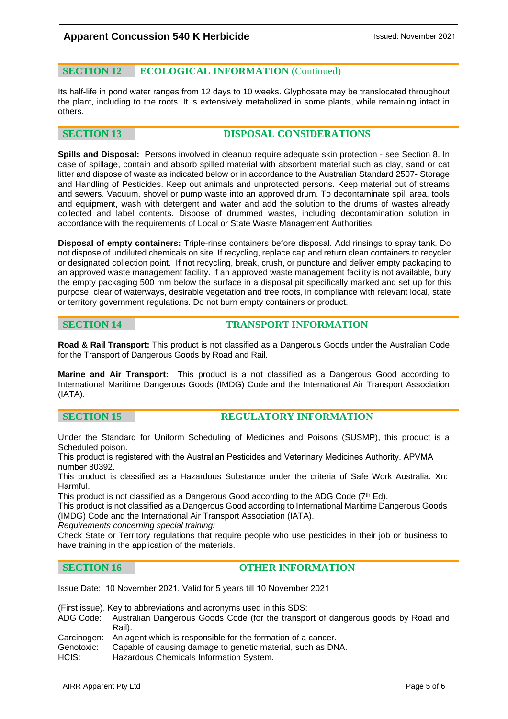# **SECTION 12 ECOLOGICAL INFORMATION** (Continued)

Its half-life in pond water ranges from 12 days to 10 weeks. Glyphosate may be translocated throughout the plant, including to the roots. It is extensively metabolized in some plants, while remaining intact in others.

# **SECTION 13 DISPOSAL CONSIDERATIONS**

**Spills and Disposal:** Persons involved in cleanup require adequate skin protection - see Section 8. In case of spillage, contain and absorb spilled material with absorbent material such as clay, sand or cat litter and dispose of waste as indicated below or in accordance to the Australian Standard 2507- Storage and Handling of Pesticides. Keep out animals and unprotected persons. Keep material out of streams and sewers. Vacuum, shovel or pump waste into an approved drum. To decontaminate spill area, tools and equipment, wash with detergent and water and add the solution to the drums of wastes already collected and label contents. Dispose of drummed wastes, including decontamination solution in accordance with the requirements of Local or State Waste Management Authorities.

**Disposal of empty containers:** Triple-rinse containers before disposal. Add rinsings to spray tank. Do not dispose of undiluted chemicals on site. If recycling, replace cap and return clean containers to recycler or designated collection point. If not recycling, break, crush, or puncture and deliver empty packaging to an approved waste management facility. If an approved waste management facility is not available, bury the empty packaging 500 mm below the surface in a disposal pit specifically marked and set up for this purpose, clear of waterways, desirable vegetation and tree roots, in compliance with relevant local, state or territory government regulations. Do not burn empty containers or product.

# **SECTION 14 TRANSPORT INFORMATION**

**Road & Rail Transport:** This product is not classified as a Dangerous Goods under the Australian Code for the Transport of Dangerous Goods by Road and Rail.

**Marine and Air Transport:** This product is a not classified as a Dangerous Good according to International Maritime Dangerous Goods (IMDG) Code and the International Air Transport Association (IATA).

# **SECTION 15 REGULATORY INFORMATION**

Under the Standard for Uniform Scheduling of Medicines and Poisons (SUSMP), this product is a Scheduled poison.

This product is registered with the Australian Pesticides and Veterinary Medicines Authority. APVMA number 80392.

This product is classified as a Hazardous Substance under the criteria of Safe Work Australia. Xn: Harmful.

This product is not classified as a Dangerous Good according to the ADG Code  $(7<sup>th</sup> Ed)$ .

This product is not classified as a Dangerous Good according to International Maritime Dangerous Goods (IMDG) Code and the International Air Transport Association (IATA).

*Requirements concerning special training:* 

Check State or Territory regulations that require people who use pesticides in their job or business to have training in the application of the materials.

### **SECTION 16 OTHER INFORMATION**

Issue Date: 10 November 2021. Valid for 5 years till 10 November 2021

(First issue). Key to abbreviations and acronyms used in this SDS:

- ADG Code: Australian Dangerous Goods Code (for the transport of dangerous goods by Road and Rail).
- Carcinogen: An agent which is responsible for the formation of a cancer.

Genotoxic: Capable of causing damage to genetic material, such as DNA.<br>HCIS: Hazardous Chemicals Information System.

Hazardous Chemicals Information System.